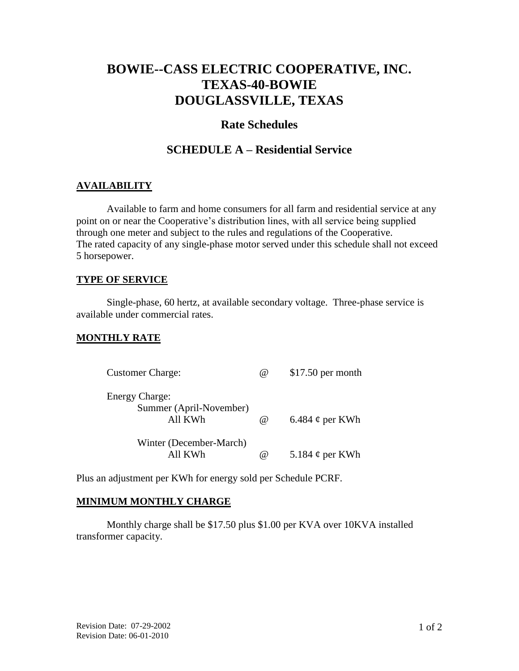# **BOWIE--CASS ELECTRIC COOPERATIVE, INC. TEXAS-40-BOWIE DOUGLASSVILLE, TEXAS**

# **Rate Schedules**

# **SCHEDULE A – Residential Service**

## **AVAILABILITY**

Available to farm and home consumers for all farm and residential service at any point on or near the Cooperative's distribution lines, with all service being supplied through one meter and subject to the rules and regulations of the Cooperative. The rated capacity of any single-phase motor served under this schedule shall not exceed 5 horsepower.

## **TYPE OF SERVICE**

Single-phase, 60 hertz, at available secondary voltage. Three-phase service is available under commercial rates.

#### **MONTHLY RATE**

| <b>Customer Charge:</b>                          | (a)      | $$17.50$ per month   |
|--------------------------------------------------|----------|----------------------|
| <b>Energy Charge:</b><br>Summer (April-November) |          |                      |
| All KWh                                          | $\omega$ | 6.484 $\phi$ per KWh |
| Winter (December-March)<br>All KWh               |          |                      |
|                                                  | (a)      | 5.184 $\phi$ per KWh |

Plus an adjustment per KWh for energy sold per Schedule PCRF.

#### **MINIMUM MONTHLY CHARGE**

Monthly charge shall be \$17.50 plus \$1.00 per KVA over 10KVA installed transformer capacity.